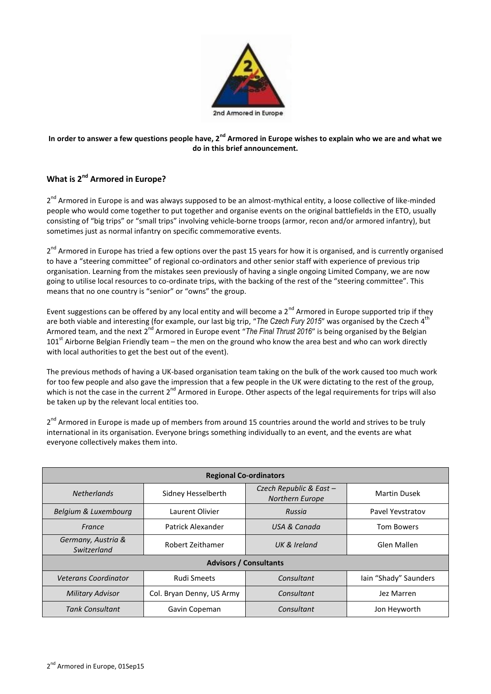

## **In order to answer a few questions people have, 2nd Armored in Europe wishes to explain who we are and what we do in this brief announcement.**

## **What is 2nd Armored in Europe?**

2<sup>nd</sup> Armored in Europe is and was always supposed to be an almost-mythical entity, a loose collective of like-minded people who would come together to put together and organise events on the original battlefields in the ETO, usually consisting of "big trips" or "small trips" involving vehicle-borne troops (armor, recon and/or armored infantry), but sometimes just as normal infantry on specific commemorative events.

2<sup>nd</sup> Armored in Europe has tried a few options over the past 15 years for how it is organised, and is currently organised to have a "steering committee" of regional co-ordinators and other senior staff with experience of previous trip organisation. Learning from the mistakes seen previously of having a single ongoing Limited Company, we are now going to utilise local resources to co-ordinate trips, with the backing of the rest of the "steering committee". This means that no one country is "senior" or "owns" the group.

Event suggestions can be offered by any local entity and will become a 2<sup>nd</sup> Armored in Europe supported trip if they are both viable and interesting (for example, our last big trip, "The Czech Fury 2015" was organised by the Czech 4<sup>th</sup> Armored team, and the next 2<sup>nd</sup> Armored in Europe event "*The Final Thrust 2016*" is being organised by the Belgian 101st Airborne Belgian Friendly team – the men on the ground who know the area best and who can work directly with local authorities to get the best out of the event).

The previous methods of having a UK-based organisation team taking on the bulk of the work caused too much work for too few people and also gave the impression that a few people in the UK were dictating to the rest of the group, which is not the case in the current  $2^{nd}$  Armored in Europe. Other aspects of the legal requirements for trips will also be taken up by the relevant local entities too.

2<sup>nd</sup> Armored in Europe is made up of members from around 15 countries around the world and strives to be truly international in its organisation. Everyone brings something individually to an event, and the events are what everyone collectively makes them into.

| <b>Regional Co-ordinators</b>     |                           |                                                  |                       |
|-----------------------------------|---------------------------|--------------------------------------------------|-----------------------|
| <b>Netherlands</b>                | Sidney Hesselberth        | Czech Republic & East-<br><b>Northern Europe</b> | Martin Dusek          |
| Belgium & Luxembourg              | Laurent Olivier           | Russia                                           | Pavel Yevstratov      |
| France                            | Patrick Alexander         | USA & Canada                                     | <b>Tom Bowers</b>     |
| Germany, Austria &<br>Switzerland | Robert Zeithamer          | UK & Ireland                                     | Glen Mallen           |
| <b>Advisors / Consultants</b>     |                           |                                                  |                       |
| <b>Veterans Coordinator</b>       | <b>Rudi Smeets</b>        | Consultant                                       | Iain "Shady" Saunders |
| Military Advisor                  | Col. Bryan Denny, US Army | Consultant                                       | Jez Marren            |
| <b>Tank Consultant</b>            | Gavin Copeman             | Consultant                                       | Jon Heyworth          |